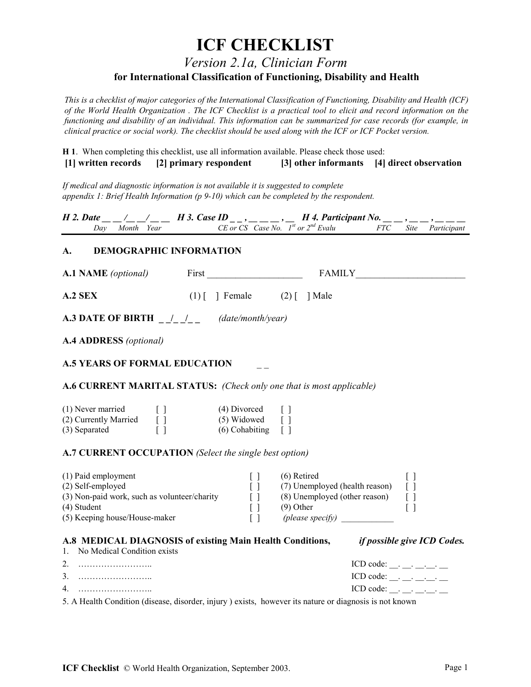# **ICF CHECKLIST**

*Version 2.1a, Clinician Form*

### **for International Classification of Functioning, Disability and Health**

*This is a checklist of major categories of the International Classification of Functioning, Disability and Health (ICF) of the World Health Organization . The ICF Checklist is a practical tool to elicit and record information on the functioning and disability of an individual. This information can be summarized for case records (for example, in clinical practice or social work). The checklist should be used along with the ICF or ICF Pocket version.*

**H 1**. When completing this checklist, use all information available. Please check those used:  **[1] written records [2] primary respondent [3] other informants [4] direct observation**

*If medical and diagnostic information is not available it is suggested to complete appendix 1: Brief Health Information (p 9-10) which can be completed by the respondent.*

|                | <i>H</i> 2. Date $\left( \begin{array}{cc} \end{array} \right)$ $\left( \begin{array}{cc} \end{array} \right)$ $\left( \begin{array}{cc} H_1^2, H_2^2, H_3^2, G_1^2, G_2^2, G_3^2, G_1^2, G_2^2, G_3^2, G_3^2, G_3^2, G_3^2, G_3^2, G_3^2, G_3^2, G_3^2, G_3^2, G_3^2, G_3^2, G_3^2, G_3^2, G_3^2, G_3^2, G_3^2, G_3^2, G_3^2,$ |                                                                   |  |  |
|----------------|---------------------------------------------------------------------------------------------------------------------------------------------------------------------------------------------------------------------------------------------------------------------------------------------------------------------------------|-------------------------------------------------------------------|--|--|
| Day Month Year |                                                                                                                                                                                                                                                                                                                                 | CE or CS Case No. $1^{st}$ or $2^{nd}$ Evalu FTC Site Participant |  |  |
|                |                                                                                                                                                                                                                                                                                                                                 |                                                                   |  |  |

#### **A. DEMOGRAPHIC INFORMATION**

| <b>A.1 NAME</b> (optional)                                                                                                                                                                                                                                                                           | First First Services of the Services of the Services of the Services of the Services of the Services of the Services of the Services of the Services of the Services of the Services of the Services of the Services of the Se | <b>FAMILY</b>                                                                                      |                                                                                                      |
|------------------------------------------------------------------------------------------------------------------------------------------------------------------------------------------------------------------------------------------------------------------------------------------------------|--------------------------------------------------------------------------------------------------------------------------------------------------------------------------------------------------------------------------------|----------------------------------------------------------------------------------------------------|------------------------------------------------------------------------------------------------------|
| A.2 SEX                                                                                                                                                                                                                                                                                              | $(1)$ [ ] Female $(2)$ [ ] Male                                                                                                                                                                                                |                                                                                                    |                                                                                                      |
| <b>A.3 DATE OF BIRTH</b> $\begin{array}{c} \begin{array}{c} \begin{array}{c} \end{array} \\ \begin{array}{c} \end{array} \begin{array}{c} \end{array} \end{array}$ ( <i>date/month/year</i> )                                                                                                        |                                                                                                                                                                                                                                |                                                                                                    |                                                                                                      |
| <b>A.4 ADDRESS</b> (optional)                                                                                                                                                                                                                                                                        |                                                                                                                                                                                                                                |                                                                                                    |                                                                                                      |
| <b>A.5 YEARS OF FORMAL EDUCATION</b>                                                                                                                                                                                                                                                                 |                                                                                                                                                                                                                                |                                                                                                    |                                                                                                      |
| A.6 CURRENT MARITAL STATUS: (Check only one that is most applicable)                                                                                                                                                                                                                                 |                                                                                                                                                                                                                                |                                                                                                    |                                                                                                      |
| (1) Never married<br>$\begin{bmatrix} 1 & 1 \\ 1 & 1 \end{bmatrix}$<br>(2) Currently Married $\begin{bmatrix} 1 \\ 1 \end{bmatrix}$ (5) Widowed $\begin{bmatrix} 1 \\ 1 \end{bmatrix}$<br>(3) Separated $\begin{bmatrix} 1 \\ 1 \end{bmatrix}$ (6) Cohabiting $\begin{bmatrix} 1 \\ 1 \end{bmatrix}$ | $(4) Divored \qquad \lceil \rceil$                                                                                                                                                                                             |                                                                                                    |                                                                                                      |
| A.7 CURRENT OCCUPATION (Select the single best option)                                                                                                                                                                                                                                               |                                                                                                                                                                                                                                |                                                                                                    |                                                                                                      |
| (1) Paid employment<br>(2) Self-employed<br>(3) Non-paid work, such as volunteer/charity<br>(4) Student<br>(5) Keeping house/House-maker                                                                                                                                                             | $\begin{bmatrix} 1 \end{bmatrix}$<br>$\Box$<br>$\lceil \rceil$<br>$\Box$<br>$[\ ]$                                                                                                                                             | $(6)$ Retired<br>(7) Unemployed (health reason)<br>(8) Unemployed (other reason) []<br>$(9)$ Other | $\Box$<br>$\left[\begin{array}{c}1\end{array}\right]$<br>$\left[\begin{array}{c}1\end{array}\right]$ |
| 1. No Medical Condition exists                                                                                                                                                                                                                                                                       |                                                                                                                                                                                                                                | A.8 MEDICAL DIAGNOSIS of existing Main Health Conditions, if possible give ICD Codes.              |                                                                                                      |
|                                                                                                                                                                                                                                                                                                      |                                                                                                                                                                                                                                |                                                                                                    | ICD code: ___. ___. ___. ___.<br>ICD code: ___. ___. ___. ___.<br>ICD code: ____ __ __ __ __         |

5. A Health Condition (disease, disorder, injury ) exists, however its nature or diagnosis is not known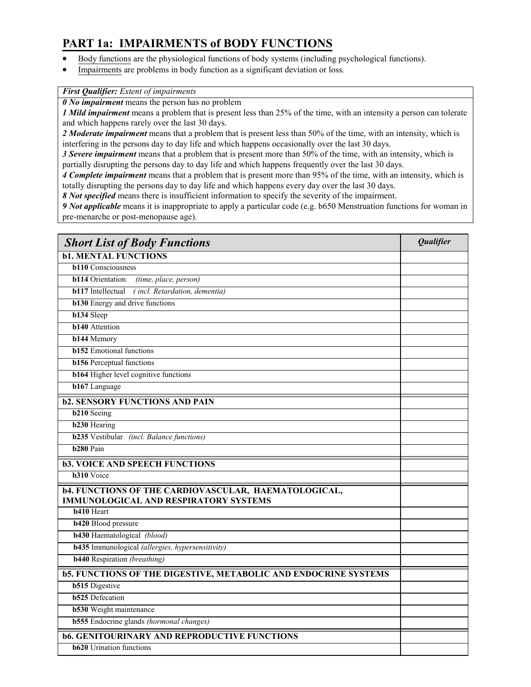## **PART 1a: IMPAIRMENTS of BODY FUNCTIONS**

- Body functions are the physiological functions of body systems (including psychological functions).
- Impairments are problems in body function as a significant deviation or loss*.*

### *First Qualifier: Extent of impairments*

*0 No impairment* means the person has no problem

*1 Mild impairment* means a problem that is present less than 25% of the time, with an intensity a person can tolerate and which happens rarely over the last 30 days.

*2 Moderate impairment* means that a problem that is present less than 50% of the time, with an intensity, which is interfering in the persons day to day life and which happens occasionally over the last 30 days.

*3 Severe impairment* means that a problem that is present more than 50% of the time, with an intensity, which is partially disrupting the persons day to day life and which happens frequently over the last 30 days.

*4 Complete impairment* means that a problem that is present more than 95% of the time, with an intensity, which is totally disrupting the persons day to day life and which happens every day over the last 30 days.

*8 Not specified* means there is insufficient information to specify the severity of the impairment.

*9 Not applicable* means it is inappropriate to apply a particular code (e.g. b650 Menstruation functions for woman in pre-menarche or post-menopause age).

| <b>Short List of Body Functions</b>                                                                         | Qualifier |
|-------------------------------------------------------------------------------------------------------------|-----------|
| <b>b1. MENTAL FUNCTIONS</b>                                                                                 |           |
| <b>b110</b> Consciousness                                                                                   |           |
| <b>b114</b> Orientation<br>(time, place, person)                                                            |           |
| (incl. Retardation, dementia)<br><b>b117</b> Intellectual                                                   |           |
| <b>b130</b> Energy and drive functions                                                                      |           |
| <b>b134</b> Sleep                                                                                           |           |
| <b>b140</b> Attention                                                                                       |           |
| <b>b144 Memory</b>                                                                                          |           |
| <b>b152</b> Emotional functions                                                                             |           |
| <b>b156</b> Perceptual functions                                                                            |           |
| <b>b164</b> Higher level cognitive functions                                                                |           |
| <b>b167</b> Language                                                                                        |           |
| <b>b2. SENSORY FUNCTIONS AND PAIN</b>                                                                       |           |
| <b>b210</b> Seeing                                                                                          |           |
| <b>b230 Hearing</b>                                                                                         |           |
| <b>b235</b> Vestibular (incl. Balance functions)                                                            |           |
| b <sub>280</sub> Pain                                                                                       |           |
| <b>b3. VOICE AND SPEECH FUNCTIONS</b>                                                                       |           |
| <b>b310</b> Voice                                                                                           |           |
| <b>b4. FUNCTIONS OF THE CARDIOVASCULAR, HAEMATOLOGICAL,</b><br><b>IMMUNOLOGICAL AND RESPIRATORY SYSTEMS</b> |           |
| <b>b410</b> Heart                                                                                           |           |
| <b>b420</b> Blood pressure                                                                                  |           |
| <b>b430</b> Haematological (blood)                                                                          |           |
| <b>b435</b> Immunological (allergies, hypersensitivity)                                                     |           |
| <b>b440</b> Respiration (breathing)                                                                         |           |
| <b>b5. FUNCTIONS OF THE DIGESTIVE, METABOLIC AND ENDOCRINE SYSTEMS</b>                                      |           |
| <b>b515</b> Digestive                                                                                       |           |
| <b>b525</b> Defecation                                                                                      |           |
| <b>b530</b> Weight maintenance                                                                              |           |
| <b>b555</b> Endocrine glands (hormonal changes)                                                             |           |
| <b>b6. GENITOURINARY AND REPRODUCTIVE FUNCTIONS</b>                                                         |           |
| <b>b620</b> Urination functions                                                                             |           |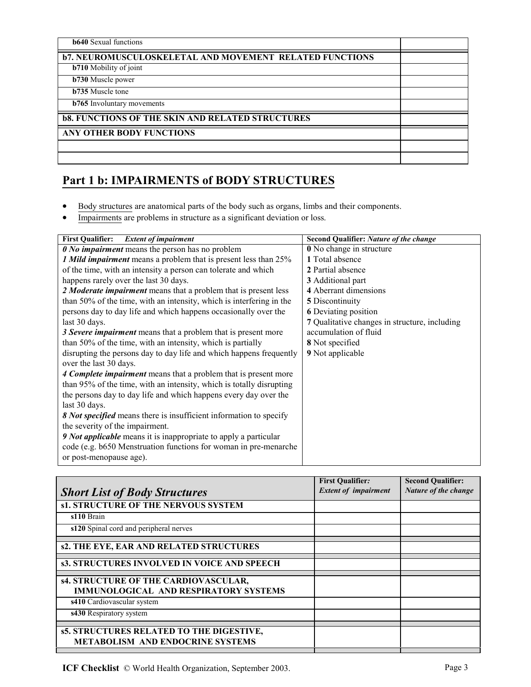| <b>b640</b> Sexual functions                                   |  |
|----------------------------------------------------------------|--|
| <b>b7. NEUROMUSCULOSKELETAL AND MOVEMENT RELATED FUNCTIONS</b> |  |
| <b>b710</b> Mobility of joint                                  |  |
| $\overline{b730}$ Muscle power                                 |  |
| <b>b735</b> Muscle tone                                        |  |
| <b>b765</b> Involuntary movements                              |  |
| <b>b8. FUNCTIONS OF THE SKIN AND RELATED STRUCTURES</b>        |  |
| <b>ANY OTHER BODY FUNCTIONS</b>                                |  |
|                                                                |  |
|                                                                |  |

## **Part 1 b: IMPAIRMENTS of BODY STRUCTURES**

- Body structures are anatomical parts of the body such as organs, limbs and their components.
- Impairments are problems in structure as a significant deviation or loss*.*

| <b>Extent of impairment</b><br><b>First Qualifier:</b>               | Second Qualifier: Nature of the change        |  |  |
|----------------------------------------------------------------------|-----------------------------------------------|--|--|
| <b><i>O No impairment</i></b> means the person has no problem        | <b>0</b> No change in structure               |  |  |
| 1 Mild impairment means a problem that is present less than 25%      | 1 Total absence                               |  |  |
| of the time, with an intensity a person can tolerate and which       | 2 Partial absence                             |  |  |
| happens rarely over the last 30 days.                                | 3 Additional part                             |  |  |
| 2 Moderate impairment means that a problem that is present less      | 4 Aberrant dimensions                         |  |  |
| than 50% of the time, with an intensity, which is interfering in the | 5 Discontinuity                               |  |  |
| persons day to day life and which happens occasionally over the      | <b>6</b> Deviating position                   |  |  |
| last 30 days.                                                        | 7 Qualitative changes in structure, including |  |  |
| 3 Severe <i>impairment</i> means that a problem that is present more | accumulation of fluid                         |  |  |
| than 50% of the time, with an intensity, which is partially          | 8 Not specified                               |  |  |
| disrupting the persons day to day life and which happens frequently  | 9 Not applicable                              |  |  |
| over the last 30 days.                                               |                                               |  |  |
| 4 Complete impairment means that a problem that is present more      |                                               |  |  |
| than 95% of the time, with an intensity, which is totally disrupting |                                               |  |  |
| the persons day to day life and which happens every day over the     |                                               |  |  |
| last 30 days.                                                        |                                               |  |  |
| 8 Not specified means there is insufficient information to specify   |                                               |  |  |
| the severity of the impairment.                                      |                                               |  |  |
| 9 Not applicable means it is inappropriate to apply a particular     |                                               |  |  |
| code (e.g. b650 Menstruation functions for woman in pre-menarche     |                                               |  |  |
| or post-menopause age).                                              |                                               |  |  |

|                                              | <b>First Qualifier:</b>     | <b>Second Qualifier:</b> |
|----------------------------------------------|-----------------------------|--------------------------|
| <b>Short List of Body Structures</b>         | <b>Extent of impairment</b> | Nature of the change     |
| s1. STRUCTURE OF THE NERVOUS SYSTEM          |                             |                          |
| s110 Brain                                   |                             |                          |
| s120 Spinal cord and peripheral nerves       |                             |                          |
|                                              |                             |                          |
| s2. THE EYE, EAR AND RELATED STRUCTURES      |                             |                          |
| s3. STRUCTURES INVOLVED IN VOICE AND SPEECH  |                             |                          |
| s4. STRUCTURE OF THE CARDIOVASCULAR,         |                             |                          |
|                                              |                             |                          |
| <b>IMMUNOLOGICAL AND RESPIRATORY SYSTEMS</b> |                             |                          |
| s410 Cardiovascular system                   |                             |                          |
| s430 Respiratory system                      |                             |                          |
|                                              |                             |                          |
| s5. STRUCTURES RELATED TO THE DIGESTIVE,     |                             |                          |
| <b>METABOLISM AND ENDOCRINE SYSTEMS</b>      |                             |                          |
|                                              |                             |                          |

**ICF Checklist** © World Health Organization, September 2003. Page 3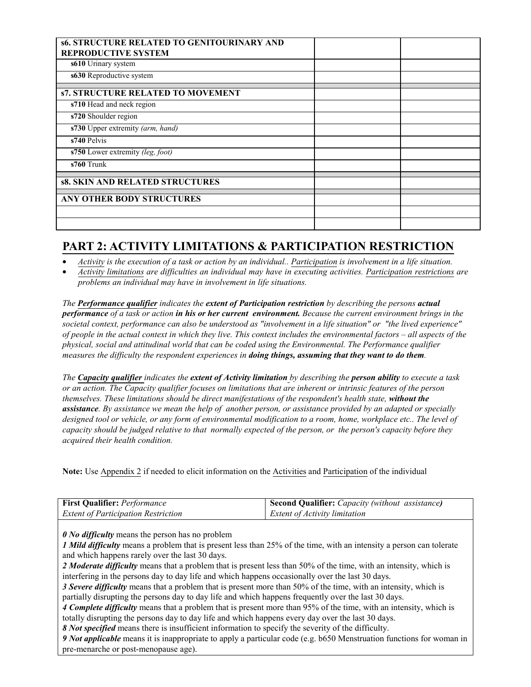| <b>s6. STRUCTURE RELATED TO GENITOURINARY AND</b> |  |
|---------------------------------------------------|--|
| <b>REPRODUCTIVE SYSTEM</b>                        |  |
| s610 Urinary system                               |  |
| s630 Reproductive system                          |  |
| <b>s7. STRUCTURE RELATED TO MOVEMENT</b>          |  |
| s710 Head and neck region                         |  |
| s720 Shoulder region                              |  |
| s730 Upper extremity (arm, hand)                  |  |
| s740 Pelvis                                       |  |
| s750 Lower extremity (leg, foot)                  |  |
| s760 Trunk                                        |  |
| <b>s8. SKIN AND RELATED STRUCTURES</b>            |  |
| <b>ANY OTHER BODY STRUCTURES</b>                  |  |
|                                                   |  |
|                                                   |  |

## **PART 2: ACTIVITY LIMITATIONS & PARTICIPATION RESTRICTION**

• *Activity is the execution of a task or action by an individual.. Participation is involvement in a life situation.*

• *Activity limitations are difficulties an individual may have in executing activities. Participation restrictions are problems an individual may have in involvement in life situations.*

*The Performance qualifier indicates the extent of Participation restriction by describing the persons actual performance of a task or action in his or her current environment. Because the current environment brings in the societal context, performance can also be understood as "involvement in a life situation" or "the lived experience" of people in the actual context in which they live. This context includes the environmental factors – all aspects of the physical, social and attitudinal world that can be coded using the Environmental. The Performance qualifier measures the difficulty the respondent experiences in doing things, assuming that they want to do them.*

*The Capacity qualifier indicates the extent of Activity limitation by describing the person ability to execute a task or an action. The Capacity qualifier focuses on limitations that are inherent or intrinsic features of the person themselves. These limitations should be direct manifestations of the respondent's health state, without the assistance. By assistance we mean the help of another person, or assistance provided by an adapted or specially designed tool or vehicle, or any form of environmental modification to a room, home, workplace etc.. The level of capacity should be judged relative to that normally expected of the person, or the person's capacity before they acquired their health condition.*

**Note:** Use Appendix 2 if needed to elicit information on the Activities and Participation of the individual

| <b>First Qualifier: Performance</b>        | Second Qualifier: Capacity (without assistance) |
|--------------------------------------------|-------------------------------------------------|
| <b>Extent of Participation Restriction</b> | <i>Extent of Activity limitation</i>            |

*0 No difficulty* means the person has no problem

*1 Mild difficulty* means a problem that is present less than 25% of the time, with an intensity a person can tolerate and which happens rarely over the last 30 days.

*2 Moderate difficulty* means that a problem that is present less than 50% of the time, with an intensity, which is interfering in the persons day to day life and which happens occasionally over the last 30 days.

*3 Severe difficulty* means that a problem that is present more than 50% of the time, with an intensity, which is partially disrupting the persons day to day life and which happens frequently over the last 30 days.

*4 Complete difficulty* means that a problem that is present more than 95% of the time, with an intensity, which is totally disrupting the persons day to day life and which happens every day over the last 30 days.

*8 Not specified* means there is insufficient information to specify the severity of the difficulty.

*9 Not applicable* means it is inappropriate to apply a particular code (e.g. b650 Menstruation functions for woman in pre-menarche or post-menopause age).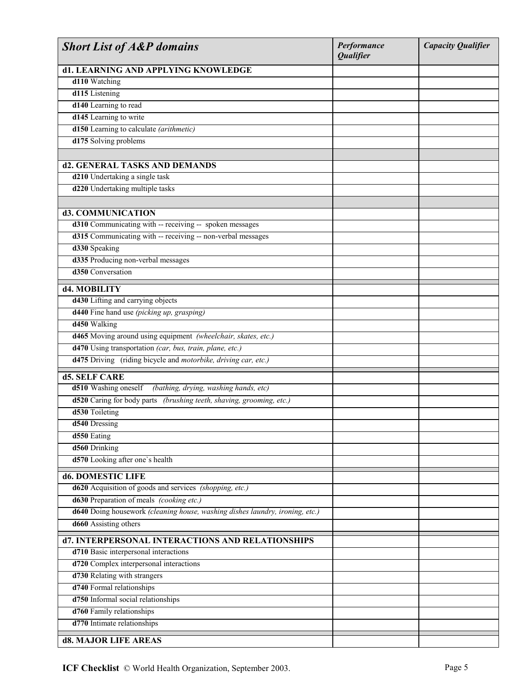| <b>Short List of A&amp;P domains</b>                                         | Performance<br><b>Qualifier</b> | <b>Capacity Qualifier</b> |
|------------------------------------------------------------------------------|---------------------------------|---------------------------|
| d1. LEARNING AND APPLYING KNOWLEDGE                                          |                                 |                           |
| d110 Watching                                                                |                                 |                           |
| d115 Listening                                                               |                                 |                           |
| d140 Learning to read                                                        |                                 |                           |
| d145 Learning to write                                                       |                                 |                           |
| d150 Learning to calculate (arithmetic)                                      |                                 |                           |
| d175 Solving problems                                                        |                                 |                           |
|                                                                              |                                 |                           |
| d2. GENERAL TASKS AND DEMANDS                                                |                                 |                           |
| d210 Undertaking a single task                                               |                                 |                           |
| d220 Undertaking multiple tasks                                              |                                 |                           |
|                                                                              |                                 |                           |
| d3. COMMUNICATION                                                            |                                 |                           |
| d310 Communicating with -- receiving -- spoken messages                      |                                 |                           |
| d315 Communicating with -- receiving -- non-verbal messages                  |                                 |                           |
| d330 Speaking                                                                |                                 |                           |
| d335 Producing non-verbal messages                                           |                                 |                           |
| d350 Conversation                                                            |                                 |                           |
|                                                                              |                                 |                           |
| d4. MOBILITY                                                                 |                                 |                           |
| d430 Lifting and carrying objects                                            |                                 |                           |
| d440 Fine hand use (picking up, grasping)                                    |                                 |                           |
| d450 Walking                                                                 |                                 |                           |
| d465 Moving around using equipment (wheelchair, skates, etc.)                |                                 |                           |
| d470 Using transportation (car, bus, train, plane, etc.)                     |                                 |                           |
| d475 Driving (riding bicycle and motorbike, driving car, etc.)               |                                 |                           |
| <b>d5. SELF CARE</b>                                                         |                                 |                           |
| d510 Washing oneself<br>(bathing, drying, washing hands, etc)                |                                 |                           |
| d520 Caring for body parts (brushing teeth, shaving, grooming, etc.)         |                                 |                           |
| d530 Toileting                                                               |                                 |                           |
| d540 Dressing                                                                |                                 |                           |
| d550 Eating                                                                  |                                 |                           |
| d560 Drinking                                                                |                                 |                           |
| d570 Looking after one's health                                              |                                 |                           |
|                                                                              |                                 |                           |
| d6. DOMESTIC LIFE                                                            |                                 |                           |
| d620 Acquisition of goods and services (shopping, etc.)                      |                                 |                           |
| d630 Preparation of meals (cooking etc.)                                     |                                 |                           |
| d640 Doing housework (cleaning house, washing dishes laundry, ironing, etc.) |                                 |                           |
| d660 Assisting others                                                        |                                 |                           |
| d7. INTERPERSONAL INTERACTIONS AND RELATIONSHIPS                             |                                 |                           |
| d710 Basic interpersonal interactions                                        |                                 |                           |
| d720 Complex interpersonal interactions                                      |                                 |                           |
| d730 Relating with strangers                                                 |                                 |                           |
| d740 Formal relationships                                                    |                                 |                           |
| d750 Informal social relationships                                           |                                 |                           |
| d760 Family relationships                                                    |                                 |                           |
| d770 Intimate relationships                                                  |                                 |                           |
| d8. MAJOR LIFE AREAS                                                         |                                 |                           |
|                                                                              |                                 |                           |

**ICF Checklist** © World Health Organization, September 2003. Page 5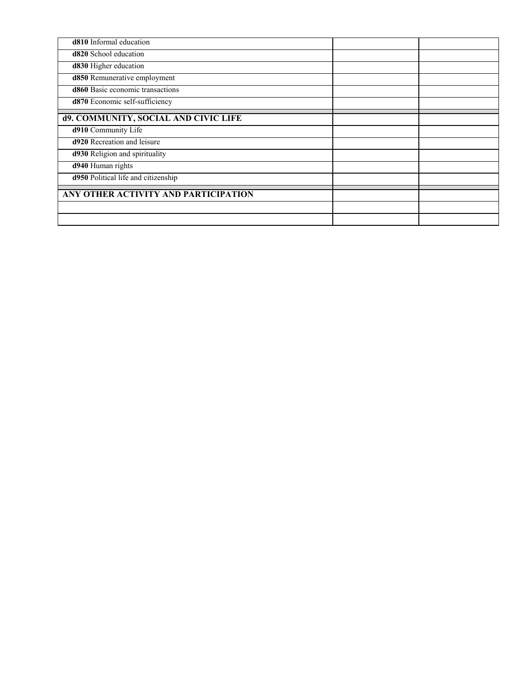| d810 Informal education              |  |
|--------------------------------------|--|
| d820 School education                |  |
| d830 Higher education                |  |
| d850 Remunerative employment         |  |
| d860 Basic economic transactions     |  |
| d870 Economic self-sufficiency       |  |
| d9. COMMUNITY, SOCIAL AND CIVIC LIFE |  |
|                                      |  |
| d910 Community Life                  |  |
| <b>d920</b> Recreation and leisure   |  |
| d930 Religion and spirituality       |  |
| d940 Human rights                    |  |
| d950 Political life and citizenship  |  |
|                                      |  |
| ANY OTHER ACTIVITY AND PARTICIPATION |  |
|                                      |  |
|                                      |  |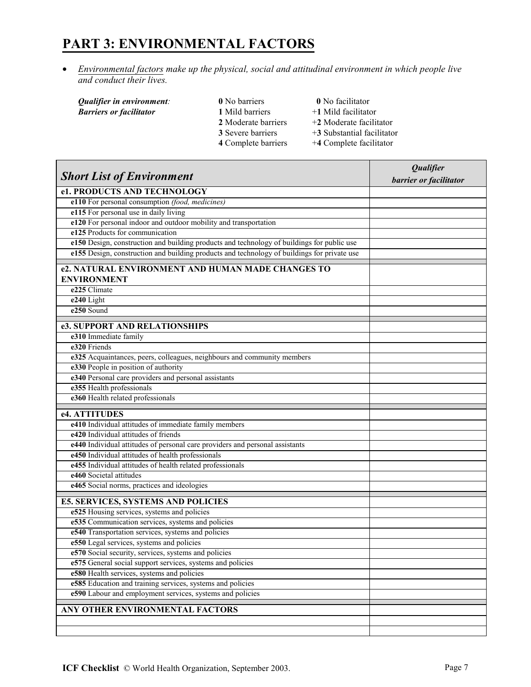## **PART 3: ENVIRONMENTAL FACTORS**

• *Environmental factors make up the physical, social and attitudinal environment in which people live and conduct their lives.*

 $Barriers$  or facilitator

- *Qualifier in environment*:<br> **1** Mild barriers **0** No facilitator<br> **1** Mild barriers **1** Mild **1** Mild facilitator **2** Moderate barriers  $+2$  Moderate facilitator **3** Severe barriers  $+3$  Substantial facilitator<br>**4** Complete barriers  $+4$  Complete facilitator
	-
	-
	- **+4 Complete facilitator**

|                                                                                             | Qualifier              |
|---------------------------------------------------------------------------------------------|------------------------|
| <b>Short List of Environment</b>                                                            | barrier or facilitator |
| e1. PRODUCTS AND TECHNOLOGY                                                                 |                        |
| e110 For personal consumption (food, medicines)                                             |                        |
| e115 For personal use in daily living                                                       |                        |
| e120 For personal indoor and outdoor mobility and transportation                            |                        |
| e125 Products for communication                                                             |                        |
| e150 Design, construction and building products and technology of buildings for public use  |                        |
| e155 Design, construction and building products and technology of buildings for private use |                        |
| e2. NATURAL ENVIRONMENT AND HUMAN MADE CHANGES TO                                           |                        |
| <b>ENVIRONMENT</b>                                                                          |                        |
| e225 Climate                                                                                |                        |
| e240 Light                                                                                  |                        |
| e250 Sound                                                                                  |                        |
| e3. SUPPORT AND RELATIONSHIPS                                                               |                        |
| e310 Immediate family                                                                       |                        |
| e320 Friends                                                                                |                        |
| e325 Acquaintances, peers, colleagues, neighbours and community members                     |                        |
| e330 People in position of authority                                                        |                        |
| e340 Personal care providers and personal assistants                                        |                        |
| e355 Health professionals                                                                   |                        |
| e360 Health related professionals                                                           |                        |
| e4. ATTITUDES                                                                               |                        |
| e410 Individual attitudes of immediate family members                                       |                        |
| e420 Individual attitudes of friends                                                        |                        |
| e440 Individual attitudes of personal care providers and personal assistants                |                        |
| e450 Individual attitudes of health professionals                                           |                        |
| e455 Individual attitudes of health related professionals                                   |                        |
| e460 Societal attitudes                                                                     |                        |
| e465 Social norms, practices and ideologies                                                 |                        |
| <b>E5. SERVICES, SYSTEMS AND POLICIES</b>                                                   |                        |
| e525 Housing services, systems and policies                                                 |                        |
| e535 Communication services, systems and policies                                           |                        |
| e540 Transportation services, systems and policies                                          |                        |
| e550 Legal services, systems and policies                                                   |                        |
| e570 Social security, services, systems and policies                                        |                        |
| e575 General social support services, systems and policies                                  |                        |
| e580 Health services, systems and policies                                                  |                        |
| e585 Education and training services, systems and policies                                  |                        |
| e590 Labour and employment services, systems and policies                                   |                        |
|                                                                                             |                        |
| ANY OTHER ENVIRONMENTAL FACTORS                                                             |                        |
|                                                                                             |                        |
|                                                                                             |                        |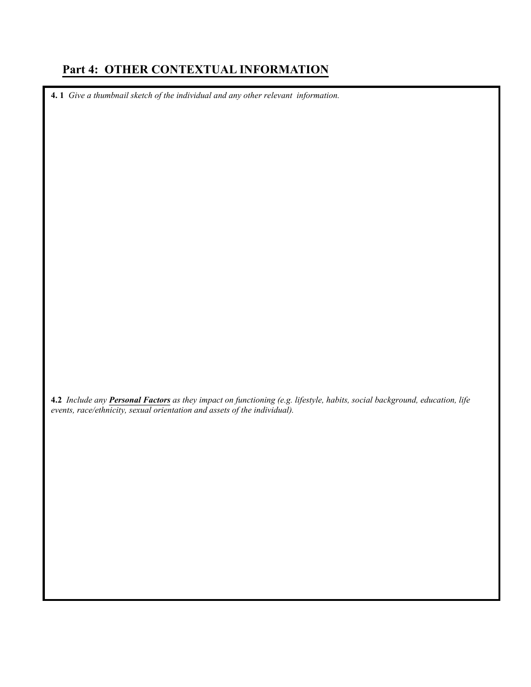## **Part 4: OTHER CONTEXTUAL INFORMATION**

**4. 1** *Give a thumbnail sketch of the individual and any other relevant information.* 

**4.2** *Include any Personal Factors as they impact on functioning (e.g. lifestyle, habits, social background, education, life events, race/ethnicity, sexual orientation and assets of the individual).*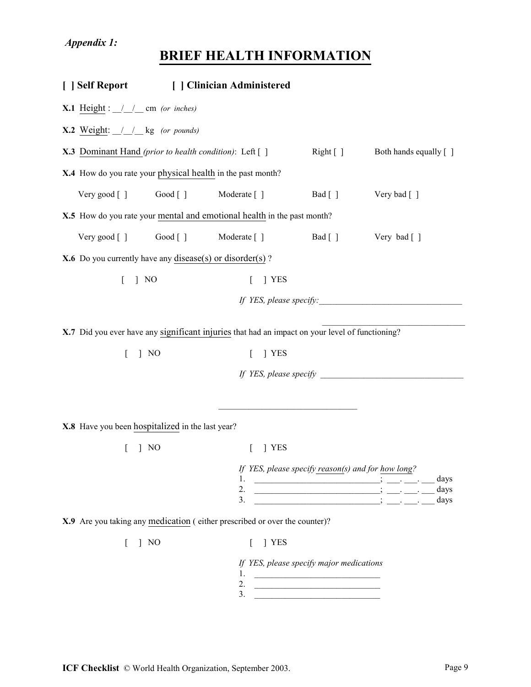# **BRIEF HEALTH INFORMATION**

|                                                                 |                | [ ] Self Report [ ] Clinician Administered                                                      |                                                    |                         |  |
|-----------------------------------------------------------------|----------------|-------------------------------------------------------------------------------------------------|----------------------------------------------------|-------------------------|--|
| <b>X.1</b> Height : $\angle$ $\angle$ $\angle$ cm (or inches)   |                |                                                                                                 |                                                    |                         |  |
| <b>X.2</b> Weight: $\angle$ $\angle$ $\angle$ kg (or pounds)    |                |                                                                                                 |                                                    |                         |  |
| <b>X.3</b> Dominant Hand (prior to health condition): Left []   |                |                                                                                                 | Right [                                            | Both hands equally [ ]  |  |
| X.4 How do you rate your physical health in the past month?     |                |                                                                                                 |                                                    |                         |  |
| Very good [] Good [] Moderate []                                |                |                                                                                                 | Bad [ ]                                            | Very bad [ ]            |  |
|                                                                 |                | X.5 How do you rate your mental and emotional health in the past month?                         |                                                    |                         |  |
| Very good [] Good []                                            |                | Moderate [ ]                                                                                    |                                                    | Bad [] Very bad []      |  |
| <b>X.6</b> Do you currently have any disease(s) or disorder(s)? |                |                                                                                                 |                                                    |                         |  |
| $\mid$ NO<br>$\mathbf{r}$                                       |                | 1 YES                                                                                           |                                                    |                         |  |
|                                                                 |                |                                                                                                 |                                                    | If YES, please specify: |  |
|                                                                 |                |                                                                                                 |                                                    |                         |  |
|                                                                 |                | X.7 Did you ever have any significant injuries that had an impact on your level of functioning? |                                                    |                         |  |
| $\mathbb{L}$                                                    | $\mid$ NO      | 1 YES                                                                                           |                                                    |                         |  |
|                                                                 |                |                                                                                                 |                                                    |                         |  |
|                                                                 |                |                                                                                                 |                                                    |                         |  |
| X.8 Have you been hospitalized in the last year?                |                |                                                                                                 |                                                    |                         |  |
|                                                                 |                |                                                                                                 |                                                    |                         |  |
|                                                                 | N <sub>O</sub> | <b>YES</b>                                                                                      |                                                    |                         |  |
|                                                                 |                |                                                                                                 | If YES, please specify reason(s) and for how long? |                         |  |
|                                                                 |                | 2.                                                                                              |                                                    | days<br>days            |  |
|                                                                 |                | 3.                                                                                              |                                                    | days                    |  |
|                                                                 |                | X.9 Are you taking any medication (either prescribed or over the counter)?                      |                                                    |                         |  |
|                                                                 | $\mid$ NO      | YES                                                                                             |                                                    |                         |  |
|                                                                 |                |                                                                                                 | If YES, please specify major medications           |                         |  |
|                                                                 |                | 2.                                                                                              |                                                    |                         |  |

 $3.$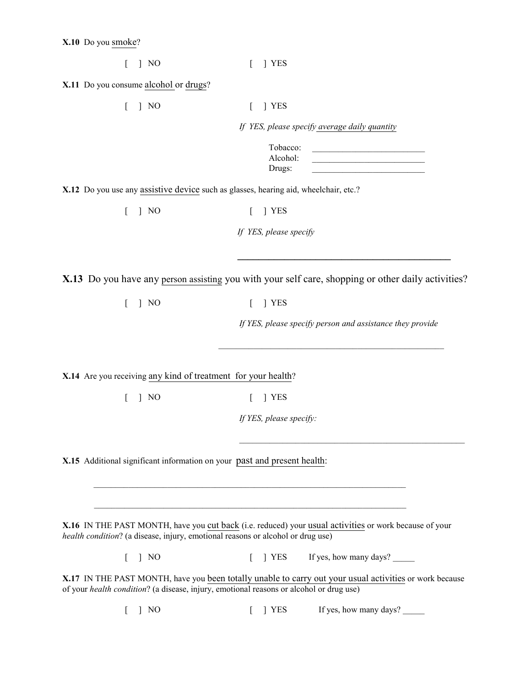| $\begin{bmatrix} 1 & N & N \end{bmatrix}$ |  | $\lceil$   YES |
|-------------------------------------------|--|----------------|
|-------------------------------------------|--|----------------|

**X.11** Do you consume alcohol or drugs?

| $\mid$ NO                                                                               | 1 YES                                                                                                         |
|-----------------------------------------------------------------------------------------|---------------------------------------------------------------------------------------------------------------|
|                                                                                         | If YES, please specify average daily quantity                                                                 |
|                                                                                         | Tobacco:<br>Alcohol:<br>Drugs:                                                                                |
| X.12 Do you use any assistive device such as glasses, hearing aid, wheelchair, etc.?    |                                                                                                               |
| $\vert$ NO<br>$\mathbb{L}$                                                              | J YES<br>$\left[ \right]$                                                                                     |
|                                                                                         | If YES, please specify                                                                                        |
|                                                                                         | X.13 Do you have any person assisting you with your self care, shopping or other daily activities?            |
| $\vert$ NO<br>$\mathbf{L}$                                                              | YES<br>$\Gamma$                                                                                               |
|                                                                                         | If YES, please specify person and assistance they provide                                                     |
|                                                                                         |                                                                                                               |
| X.14 Are you receiving any kind of treatment for your health?                           |                                                                                                               |
| $\mathbf{r}$<br>$\vert$ NO                                                              | 1 YES<br>L                                                                                                    |
|                                                                                         | If YES, please specify:                                                                                       |
|                                                                                         |                                                                                                               |
| X.15 Additional significant information on your past and present health:                |                                                                                                               |
|                                                                                         |                                                                                                               |
|                                                                                         |                                                                                                               |
| health condition? (a disease, injury, emotional reasons or alcohol or drug use)         | <b>X.16</b> IN THE PAST MONTH, have you cut back (i.e. reduced) your usual activities or work because of your |
| $\mid$ NO                                                                               | If yes, how many days?<br>T YES<br>L                                                                          |
| of your health condition? (a disease, injury, emotional reasons or alcohol or drug use) | X.17 IN THE PAST MONTH, have you been totally unable to carry out your usual activities or work because       |
|                                                                                         |                                                                                                               |

[ ] NO [ ] YES If yes, how many days?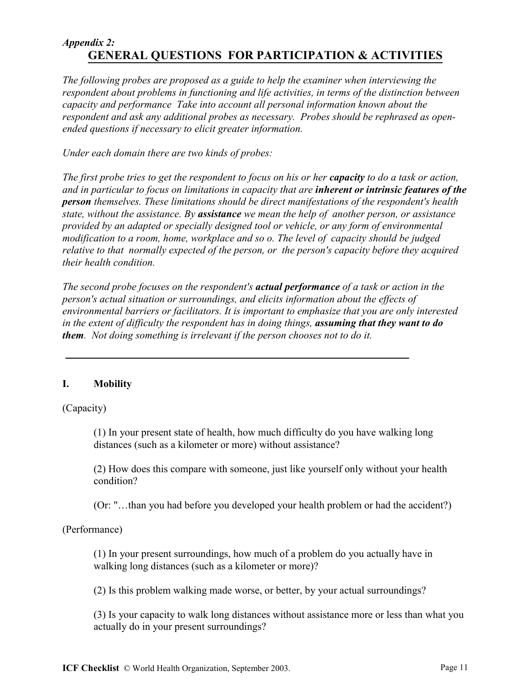### *Appendix 2:*  **GENERAL QUESTIONS FOR PARTICIPATION & ACTIVITIES**

*The following probes are proposed as a guide to help the examiner when interviewing the respondent about problems in functioning and life activities, in terms of the distinction between capacity and performance Take into account all personal information known about the respondent and ask any additional probes as necessary. Probes should be rephrased as openended questions if necessary to elicit greater information.* 

*Under each domain there are two kinds of probes:*

*The first probe tries to get the respondent to focus on his or her capacity to do a task or action, and in particular to focus on limitations in capacity that are inherent or intrinsic features of the person themselves. These limitations should be direct manifestations of the respondent's health state, without the assistance. By assistance we mean the help of another person, or assistance provided by an adapted or specially designed tool or vehicle, or any form of environmental modification to a room, home, workplace and so o. The level of capacity should be judged relative to that normally expected of the person, or the person's capacity before they acquired their health condition.* 

*The second probe focuses on the respondent's actual performance of a task or action in the person's actual situation or surroundings, and elicits information about the effects of environmental barriers or facilitators. It is important to emphasize that you are only interested in the extent of difficulty the respondent has in doing things, assuming that they want to do them. Not doing something is irrelevant if the person chooses not to do it.*

### **I. Mobility**

(Capacity)

(1) In your present state of health, how much difficulty do you have walking long distances (such as a kilometer or more) without assistance?

(2) How does this compare with someone, just like yourself only without your health condition?

(Or: "…than you had before you developed your health problem or had the accident?)

(Performance)

(1) In your present surroundings, how much of a problem do you actually have in walking long distances (such as a kilometer or more)?

(2) Is this problem walking made worse, or better, by your actual surroundings?

(3) Is your capacity to walk long distances without assistance more or less than what you actually do in your present surroundings?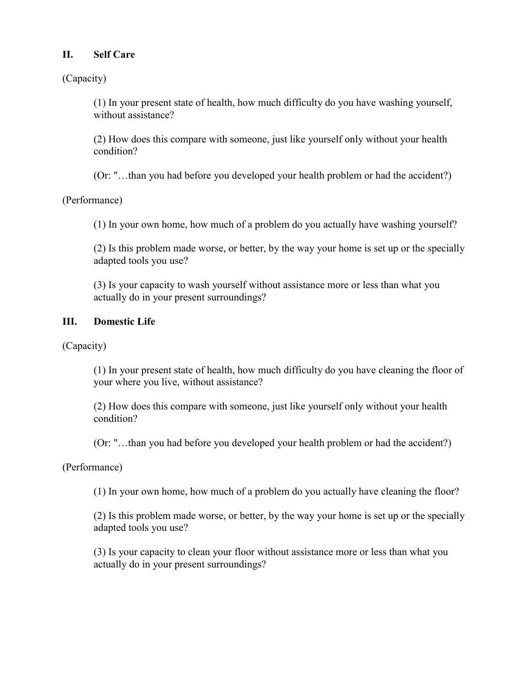### **II. Self Care**

(Capacity)

(1) In your present state of health, how much difficulty do you have washing yourself, without assistance?

(2) How does this compare with someone, just like yourself only without your health condition?

(Or: "…than you had before you developed your health problem or had the accident?)

(Performance)

(1) In your own home, how much of a problem do you actually have washing yourself?

(2) Is this problem made worse, or better, by the way your home is set up or the specially adapted tools you use?

(3) Is your capacity to wash yourself without assistance more or less than what you actually do in your present surroundings?

### **III. Domestic Life**

(Capacity)

(1) In your present state of health, how much difficulty do you have cleaning the floor of your where you live, without assistance?

(2) How does this compare with someone, just like yourself only without your health condition?

(Or: "…than you had before you developed your health problem or had the accident?)

(Performance)

(1) In your own home, how much of a problem do you actually have cleaning the floor?

(2) Is this problem made worse, or better, by the way your home is set up or the specially adapted tools you use?

(3) Is your capacity to clean your floor without assistance more or less than what you actually do in your present surroundings?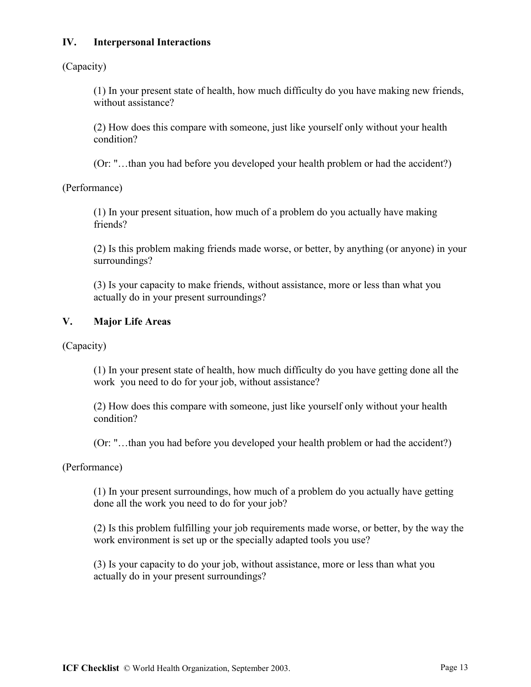### **IV. Interpersonal Interactions**

(Capacity)

(1) In your present state of health, how much difficulty do you have making new friends, without assistance?

(2) How does this compare with someone, just like yourself only without your health condition?

(Or: "…than you had before you developed your health problem or had the accident?)

(Performance)

(1) In your present situation, how much of a problem do you actually have making friends?

(2) Is this problem making friends made worse, or better, by anything (or anyone) in your surroundings?

(3) Is your capacity to make friends, without assistance, more or less than what you actually do in your present surroundings?

### **V. Major Life Areas**

(Capacity)

(1) In your present state of health, how much difficulty do you have getting done all the work you need to do for your job, without assistance?

(2) How does this compare with someone, just like yourself only without your health condition?

(Or: "…than you had before you developed your health problem or had the accident?)

(Performance)

(1) In your present surroundings, how much of a problem do you actually have getting done all the work you need to do for your job?

(2) Is this problem fulfilling your job requirements made worse, or better, by the way the work environment is set up or the specially adapted tools you use?

(3) Is your capacity to do your job, without assistance, more or less than what you actually do in your present surroundings?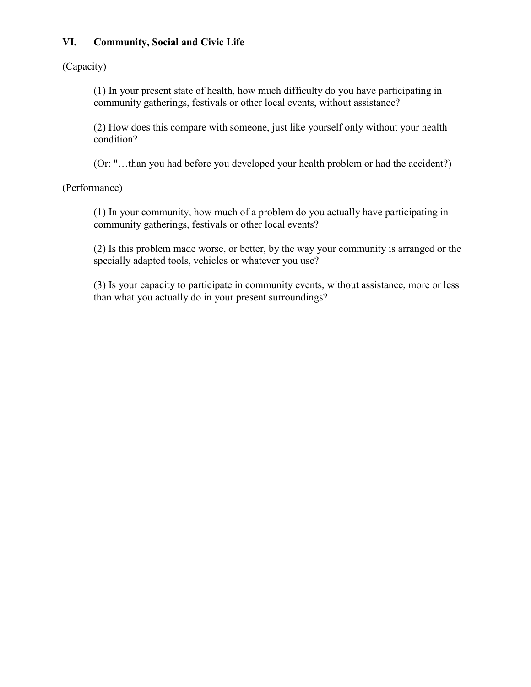### **VI. Community, Social and Civic Life**

(Capacity)

(1) In your present state of health, how much difficulty do you have participating in community gatherings, festivals or other local events, without assistance?

(2) How does this compare with someone, just like yourself only without your health condition?

(Or: "…than you had before you developed your health problem or had the accident?)

(Performance)

(1) In your community, how much of a problem do you actually have participating in community gatherings, festivals or other local events?

(2) Is this problem made worse, or better, by the way your community is arranged or the specially adapted tools, vehicles or whatever you use?

(3) Is your capacity to participate in community events, without assistance, more or less than what you actually do in your present surroundings?